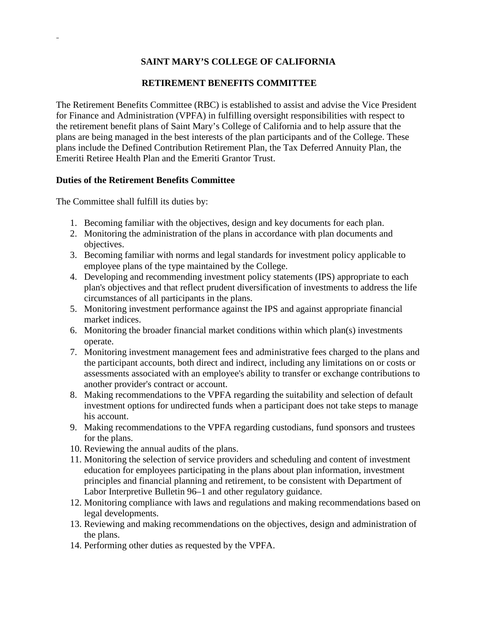# **SAINT MARY'S COLLEGE OF CALIFORNIA**

## **RETIREMENT BENEFITS COMMITTEE**

The Retirement Benefits Committee (RBC) is established to assist and advise the Vice President for Finance and Administration (VPFA) in fulfilling oversight responsibilities with respect to the retirement benefit plans of Saint Mary's College of California and to help assure that the plans are being managed in the best interests of the plan participants and of the College. These plans include the Defined Contribution Retirement Plan, the Tax Deferred Annuity Plan, the Emeriti Retiree Health Plan and the Emeriti Grantor Trust.

### **Duties of the Retirement Benefits Committee**

The Committee shall fulfill its duties by:

- 1. Becoming familiar with the objectives, design and key documents for each plan.
- 2. Monitoring the administration of the plans in accordance with plan documents and objectives.
- 3. Becoming familiar with norms and legal standards for investment policy applicable to employee plans of the type maintained by the College.
- 4. Developing and recommending investment policy statements (IPS) appropriate to each plan's objectives and that reflect prudent diversification of investments to address the life circumstances of all participants in the plans.
- 5. Monitoring investment performance against the IPS and against appropriate financial market indices.
- 6. Monitoring the broader financial market conditions within which plan(s) investments operate.
- 7. Monitoring investment management fees and administrative fees charged to the plans and the participant accounts, both direct and indirect, including any limitations on or costs or assessments associated with an employee's ability to transfer or exchange contributions to another provider's contract or account.
- 8. Making recommendations to the VPFA regarding the suitability and selection of default investment options for undirected funds when a participant does not take steps to manage his account.
- 9. Making recommendations to the VPFA regarding custodians, fund sponsors and trustees for the plans.
- 10. Reviewing the annual audits of the plans.
- 11. Monitoring the selection of service providers and scheduling and content of investment education for employees participating in the plans about plan information, investment principles and financial planning and retirement, to be consistent with Department of Labor Interpretive Bulletin 96–1 and other regulatory guidance.
- 12. Monitoring compliance with laws and regulations and making recommendations based on legal developments.
- 13. Reviewing and making recommendations on the objectives, design and administration of the plans.
- 14. Performing other duties as requested by the VPFA.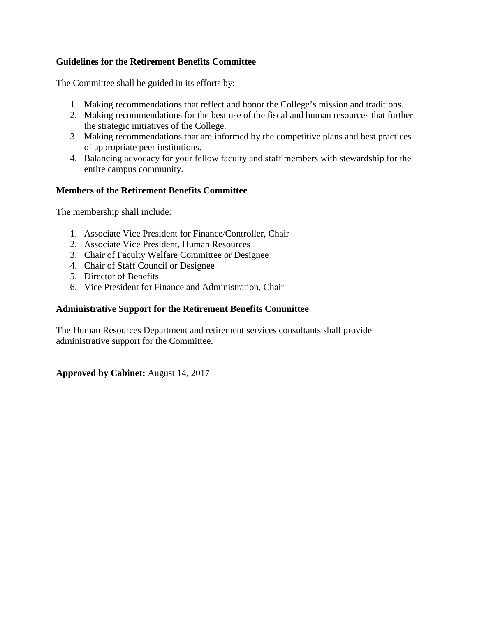## **Guidelines for the Retirement Benefits Committee**

The Committee shall be guided in its efforts by:

- 1. Making recommendations that reflect and honor the College's mission and traditions.
- 2. Making recommendations for the best use of the fiscal and human resources that further the strategic initiatives of the College.
- 3. Making recommendations that are informed by the competitive plans and best practices of appropriate peer institutions.
- 4. Balancing advocacy for your fellow faculty and staff members with stewardship for the entire campus community.

### **Members of the Retirement Benefits Committee**

The membership shall include:

- 1. Associate Vice President for Finance/Controller, Chair
- 2. Associate Vice President, Human Resources
- 3. Chair of Faculty Welfare Committee or Designee
- 4. Chair of Staff Council or Designee
- 5. Director of Benefits
- 6. Vice President for Finance and Administration, Chair

#### **Administrative Support for the Retirement Benefits Committee**

The Human Resources Department and retirement services consultants shall provide administrative support for the Committee.

#### **Approved by Cabinet:** August 14, 2017